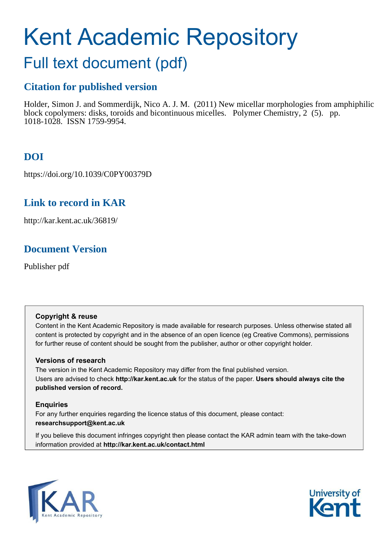## Kent Academic Repository

## Full text document (pdf)

## **Citation for published version**

Holder, Simon J. and Sommerdijk, Nico A. J. M. (2011) New micellar morphologies from amphiphilic block copolymers: disks, toroids and bicontinuous micelles. Polymer Chemistry, 2 (5). pp. 1018-1028. ISSN 1759-9954.

## **DOI**

https://doi.org/10.1039/C0PY00379D

## **Link to record in KAR**

http://kar.kent.ac.uk/36819/

## **Document Version**

Publisher pdf

### **Copyright & reuse**

Content in the Kent Academic Repository is made available for research purposes. Unless otherwise stated all content is protected by copyright and in the absence of an open licence (eg Creative Commons), permissions for further reuse of content should be sought from the publisher, author or other copyright holder.

### **Versions of research**

The version in the Kent Academic Repository may differ from the final published version. Users are advised to check **http://kar.kent.ac.uk** for the status of the paper. **Users should always cite the published version of record.**

### **Enquiries**

For any further enquiries regarding the licence status of this document, please contact: **researchsupport@kent.ac.uk**

If you believe this document infringes copyright then please contact the KAR admin team with the take-down information provided at **http://kar.kent.ac.uk/contact.html**



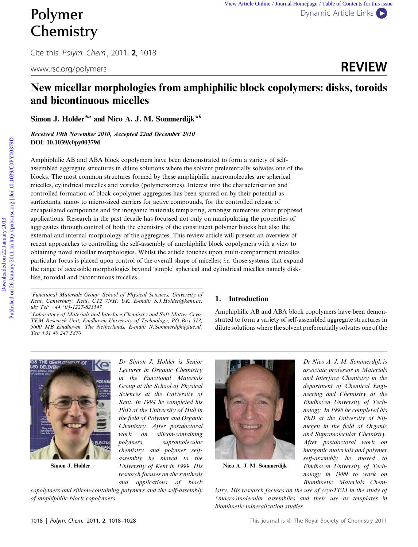# **Chemistry**

Cite this: Polym. Chem., 2011, 2, 1018



### New micellar morphologies from amphiphilic block copolymers: disks, toroids and bicontinuous micelles

Simon J. Holder<sup>\*a</sup> and Nico A. J. M. Sommerdijk<sup>\*b</sup>

Received 19th November 2010, Accepted 22nd December 2010 DOI: 10.1039/c0py00379d

Amphiphilic AB and ABA block copolymers have been demonstrated to form a variety of selfassembled aggregate structures in dilute solutions where the solvent preferentially solvates one of the blocks. The most common structures formed by these amphiphilic macromolecules are spherical micelles, cylindrical micelles and vesicles (polymersomes). Interest into the characterisation and controlled formation of block copolymer aggregates has been spurred on by their potential as surfactants, nano- to micro-sized carriers for active compounds, for the controlled release of encapsulated compounds and for inorganic materials templating, amongst numerous other proposed applications. Research in the past decade has focussed not only on manipulating the properties of aggregates through control of both the chemistry of the constituent polymer blocks but also the external and internal morphology of the aggregates. This review article will present an overview of recent approaches to controlling the self-assembly of amphiphilic block copolymers with a view to obtaining novel micellar morphologies. Whilst the article touches upon multi-compartment micelles particular focus is placed upon control of the overall shape of micelles; *i.e.* those systems that expand the range of accessible morphologies beyond 'simple' spherical and cylindrical micelles namely disklike, toroidal and bicontinuous micelles.

*bLaboratory of Materials and Interface Chemistry and Soft Matter Cryo-TEM Research Unit, Eindhoven University of Technology, PO Box 513, 5600 MB Eindhoven, The Netherlands. E-mail: N.Sommerdijk@tue.nl; Tel: +31 40 247 5870*

### 1. Introduction

Amphiphilic AB and ABA block copolymers have been demonstrated to form a variety of self-assembled aggregate structures in dilute solutions where the solvent preferentially solvates one of the



Simon J: Holder

*Dr Simon J. Holder is Senior Lecturer in Organic Chemistry in the Functional Materials Group at the School of Physical Sciences at the University of Kent. In 1994 he completed his PhD at the University of Hull in the field of Polymer and Organic Chemistry. After postdoctoral work on silicon-containing polymers, supramolecular chemistry and polymer selfassembly he moved to the University of Kent in 1999. His research focuses on the synthesis and applications of block*

*copolymers and silicon-containing polymers and the self-assembly of amphiphilic block copolymers.*



Nico A: J: M: Sommerdijk

*Dr Nico A. J. M. Sommerdijk is associate professor in Materials and Interface Chemistry in the department of Chemical Engineering and Chemistry at the Eindhoven University of Technology. In 1995 he completed his PhD at the University of Nijmegen in the field of Organic and Supramolecular Chemistry. After postdoctoral work on inorganic materials and polymer self-assembly he moved to Eindhoven University of Technology in 1999 to work on Biomimetic Materials Chem-*

*istry. His research focuses on the use of cryoTEM in the study of (macro)molecular assemblies and their use as templates in biomimetic mineralization studies.*

*<sup>a</sup>Functional Materials Group, School of Physical Sciences, University of Kent, Canterbury, Kent, CT2 7NH, UK. E-mail: S.J.Holder@kent.ac. uk; Tel: +44 (0)-1227-823547*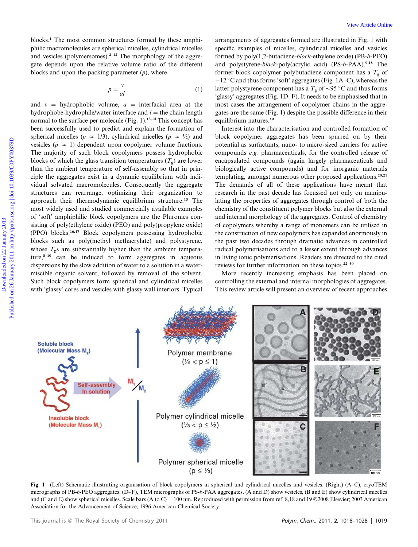blocks.<sup>1</sup> The most common structures formed by these amphiphilic macromolecules are spherical micelles, cylindrical micelles and vesicles (polymersomes). $2-12$  The morphology of the aggregate depends upon the relative volume ratio of the different blocks and upon the packing parameter (*p*), where

$$
p = \frac{v}{al} \tag{1}
$$

and  $v =$  hydrophobic volume,  $a =$  interfacial area at the hydrophobe-hydrophile/water interface and  $l =$  the chain length normal to the surface per molecule (Fig.  $1$ ).<sup>13,14</sup> This concept has been successfully used to predict and explain the formation of spherical micelles ( $p \approx 1/3$ ), cylindrical micelles ( $p \approx \frac{1}{2}$ ) and vesicles ( $p \approx 1$ ) dependent upon copolymer volume fractions. The majority of such block copolymers possess hydrophobic blocks of which the glass transition temperatures  $(T_g)$  are lower than the ambient temperature of self-assembly so that in principle the aggregates exist in a dynamic equilibrium with individual solvated macromolecules. Consequently the aggregate structures can rearrange, optimizing their organization to approach their thermodynamic equilibrium structure.<sup>15</sup> The most widely used and studied commercially available examples of 'soft' amphiphilic block copolymers are the Pluronics consisting of poly(ethylene oxide) (PEO) and poly(propylene oxide) (PPO) blocks.16,17 Block copolymers possessing hydrophobic blocks such as poly(methyl methacrylate) and polystyrene, whose  $T_g$ s are substantially higher than the ambient temperature, $8-10$  can be induced to form aggregates in aqueous dispersions by the slow addition of water to a solution in a watermiscible organic solvent, followed by removal of the solvent. Such block copolymers form spherical and cylindrical micelles with 'glassy' cores and vesicles with glassy wall interiors. Typical

arrangements of aggregates formed are illustrated in Fig. 1 with specific examples of micelles, cylindrical micelles and vesicles formed by poly(1,2-butadiene-*block-*ethylene oxide) (PB-*b*-PEO) and polystyrene-*block*-poly(acrylic acid) (PS-b-PAA).<sup>9,18</sup> The former block copolymer polybutadiene component has a  $T_g$  of -12 °C and thus forms 'soft' aggregates (Fig. 1A–C), whereas the latter polystyrene component has a  $T_g$  of  $\sim$ 95 °C and thus forms 'glassy' aggregates (Fig. 1D–F). It needs to be emphasised that in most cases the arrangement of copolymer chains in the aggregates are the same (Fig. 1) despite the possible difference in their equilibrium natures.<sup>19</sup>

Interest into the characterisation and controlled formation of block copolymer aggregates has been spurred on by their potential as surfactants, nano- to micro-sized carriers for active compounds *e.g.* pharmaceuticals, for the controlled release of encapsulated compounds (again largely pharmaceuticals and biologically active compounds) and for inorganic materials templating, amongst numerous other proposed applications.<sup>20,21</sup> The demands of all of these applications have meant that research in the past decade has focussed not only on manipulating the properties of aggregates through control of both the chemistry of the constituent polymer blocks but also the external and internal morphology of the aggregates. Control of chemistry of copolymers whereby a range of monomers can be utilised in the construction of new copolymers has expanded enormously in the past two decades through dramatic advances in controlled radical polymerisations and to a lesser extent through advances in living ionic polymerisations. Readers are directed to the cited reviews for further information on these topics.22–30

More recently increasing emphasis has been placed on controlling the external and internal morphologies of aggregates. This review article will present an overview of recent approaches

Soluble block (Molecular Mass M.) Polymer membrane  $(\frac{1}{2} < p \le 1)$ Self-assembly In solution Polymer cylindrical micelle **Insoluble block** (Molecular Mass M.)  $(\frac{1}{3} < p \leq \frac{1}{2})$ С Polymer spherical micelle  $(p \leq \frac{1}{3})$ 

Fig. 1 (Left) Schematic illustrating organisation of block copolymers in spherical and cylindrical micelles and vesicles. (Right) (A–C), cryoTEM micrographs of PB-*b*-PEO aggregates; (D–F), TEM micrographs of PS-*b*-PAA aggregates. (A and D) show vesicles, (B and E) show cylindrical micelles and (C and E) show spherical micelles. Scale bars (A to C) = 100 nm. Reproduced with permission from ref. 8,18 and 19  $\odot$ 2008 Elsevier; 2003 American Association for the Advancement of Science; 1996 American Chemical Society.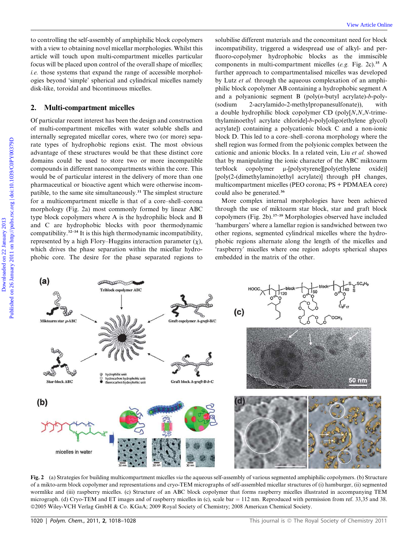#### 2. Multi-compartment micelles

Of particular recent interest has been the design and construction of multi-compartment micelles with water soluble shells and internally segregated micellar cores, where two (or more) separate types of hydrophobic regions exist. The most obvious advantage of these structures would be that these distinct core domains could be used to store two or more incompatible compounds in different nanocompartments within the core. This would be of particular interest in the delivery of more than one pharmaceutical or bioactive agent which were otherwise incompatible, to the same site simultaneously.<sup>31</sup> The simplest structure for a multicompartment micelle is that of a core–shell–corona morphology (Fig. 2a) most commonly formed by linear ABC type block copolymers where A is the hydrophilic block and B and C are hydrophobic blocks with poor thermodynamic compatibility.<sup>32-34</sup> It is this high thermodynamic incompatibility, represented by a high Flory–Huggins interaction parameter  $(\chi)$ , which drives the phase separation within the micellar hydrophobic core. The desire for the phase separated regions to

solubilise different materials and the concomitant need for block incompatibility, triggered a widespread use of alkyl- and perfluoro-copolymer hydrophobic blocks as the immiscible components in multi-compartment micelles (*e.g.* Fig. 2c).<sup>35</sup> A further approach to compartmentalised micelles was developed by Lutz *et al.* through the aqueous complexation of an amphiphilic block copolymer AB containing a hydrophobic segment A and a polyanionic segment B (poly(*n*-butyl acrylate)-*b*-poly- (sodium 2-acrylamido-2-methylpropanesulfonate)), with a double hydrophilic block copolymer CD (poly[*N*,*N*,*N*-trimethylaminoethyl acrylate chloride]-*b*-poly[oligo(ethylene glycol) acrylate]) containing a polycationic block C and a non-ionic block D. This led to a core–shell–corona morphology where the shell region was formed from the polyionic complex between the cationic and anionic blocks. In a related vein, Liu *et al.* showed that by manipulating the ionic character of the ABC miktoarm terblock copolymer  $\mu$ -[polystyrene][poly(ethylene oxide)] [poly(2-(dimethylamino)ethyl acrylate)] through pH changes, multicompartment micelles (PEO corona; PS + PDMAEA core) could also be generated.<sup>36</sup>

More complex internal morphologies have been achieved through the use of miktoarm star block, star and graft block copolymers (Fig. 2b).37–39 Morphologies observed have included 'hamburgers' where a lamellar region is sandwiched between two other regions, segmented cylindrical micelles where the hydrophobic regions alternate along the length of the micelles and 'raspberry' micelles where one region adopts spherical shapes embedded in the matrix of the other.



Fig. 2 (a) Strategies for building multicompartment micelles *via* the aqueous self-assembly of various segmented amphiphilic copolymers. (b) Structure of a mikto-arm block copolymer and representations and cryo-TEM micrographs of self-assembled micellar structures of (i) hamburger, (ii) segmented wormlike and (iii) raspberry micelles. (c) Structure of an ABC block copolymer that forms raspberry micelles illustrated in accompanying TEM micrograph. (d) Cryo-TEM and ET images and of raspberry micelles in (c), scale bar  $= 112$  nm. Reproduced with permission from ref. 33,35 and 38. ©2005 Wiley-VCH Verlag GmbH & Co. KGaA; 2009 Royal Society of Chemistry; 2008 American Chemical Society.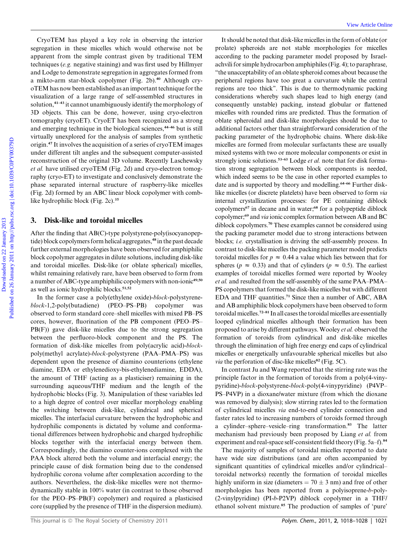CryoTEM has played a key role in observing the interior segregation in these micelles which would otherwise not be apparent from the simple contrast given by traditional TEM techniques (*e.g.* negative staining) and was first used by Hillmyer and Lodge to demonstrate segregation in aggregates formed from a mikto-arm star-block copolymer (Fig. 2b).<sup>40</sup> Although cryoTEM has now been established as an important technique for the visualization of a large range of self-assembled structures in solution,<sup>41-43</sup> it cannot unambiguously identify the morphology of 3D objects. This can be done, however, using cryo-electron tomography (cryoET). CryoET has been recognized as a strong and emerging technique in the biological sciences,<sup>44-46</sup> but is still virtually unexplored for the analysis of samples from synthetic origin.<sup>47</sup> It involves the acquisition of a series of cryoTEM images under different tilt angles and the subsequent computer-assisted reconstruction of the original 3D volume. Recently Laschewsky *et al.* have utilised cryoTEM (Fig. 2d) and cryo-electron tomography (cryo-ET) to investigate and conclusively demonstrate the phase separated internal structure of raspberry-like micelles (Fig. 2d) formed by an ABC linear block copolymer with comblike hydrophilic block (Fig. 2c).<sup>35</sup>

#### 3. Disk-like and toroidal micelles

After the finding that AB(C)-type polystyrene-poly(isocyanopeptide) block copolymers form helical aggregates,<sup>48</sup> in the past decade further external morphologies have been observed for amphiphilic block copolymer aggregates in dilute solutions, including disk-like and toroidal micelles. Disk-like (or oblate spherical) micelles, whilst remaining relatively rare, have been observed to form from a number of ABC-type amphiphilic copolymers with non-ionic<sup>49,50</sup> as well as ionic hydrophilic blocks.<sup>51,52</sup>

In the former case a poly(ethylene oxide)-*block*-polystyrene*block*-1,2-poly(butadiene) (PEO–PS–PB) copolymer was observed to form standard core–shell micelles with mixed PB–PS cores, however, fluorination of the PB component (PEO–PS– PB(F)) gave disk-like micelles due to the strong segregation between the perfluoro-block component and the PS. The formation of disk-like micelles from poly(acrylic acid)-*block*poly(methyl acrylate)-*block*-polystyrene (PAA–PMA–PS) was dependent upon the presence of diamino counterions (ethylene diamine, EDA or ethylenedioxy-bis-ethylenediamine, EDDA), the amount of THF (acting as a plasticiser) remaining in the surrounding aqueous/THF medium and the length of the hydrophobic blocks (Fig. 3). Manipulation of these variables led to a high degree of control over micellar morphology enabling the switching between disk-like, cylindrical and spherical micelles. The interfacial curvature between the hydrophobic and hydrophilic components is dictated by volume and conformational differences between hydrophobic and charged hydrophilic blocks together with the interfacial energy between them. Correspondingly, the diamino counter-ions complexed with the PAA block altered both the volume and interfacial energy; the principle cause of disk formation being due to the condensed hydrophilic corona volume after complexation according to the authors. Nevertheless, the disk-like micelles were not thermodynamically stable in 100% water (in contrast to those observed for the PEO–PS–PB(F) copolymer) and required a plasticised core (supplied by the presence of THF in the dispersion medium).

It should be noted that disk-like micelles in the form of oblate (or prolate) spheroids are not stable morphologies for micelles according to the packing parameter model proposed by Israelachvili for simple hydrocarbon amphiphiles (Fig. 4); to paraphrase, ''the unacceptability of an oblate spheroid comes about because the peripheral regions have too great a curvature while the central regions are too thick''. This is due to thermodynamic packing considerations whereby such shapes lead to high energy (and consequently unstable) packing, instead globular or flattened micelles with rounded rims are predicted. Thus the formation of oblate spheroidal and disk-like morphologies should be due to additional factors other than straightforward consideration of the packing parameter of the hydrophobic chains. Where disk-like micelles are formed from molecular surfactants these are usually mixed systems with two or more molecular components or exist in strongly ionic solutions.<sup>53-63</sup> Lodge *et al.* note that for disk formation strong segregation between block components is needed, which indeed seems to be the case in other reported examples to date and is supported by theory and modelling.<sup>64–66</sup> Further disklike micelles (or discrete platelets) have been observed to form *via* internal crystallization processes: for PE containing diblock copolymers<sup>67</sup> in decane and in water;<sup>68</sup> for a polypeptide diblock copolymer;<sup>69</sup> and *via* ionic complex formation between AB and BC diblock copolymers.<sup>70</sup> These examples cannot be considered using the packing parameter model due to strong interactions between blocks; *i.e.* crystallisation is driving the self-assembly process. In contrast to disk-like micelles the packing parameter model predicts toroidal micelles for  $p \approx 0.44$  a value which lies between that for spheres ( $p \approx 0.33$ ) and that of cylinders ( $p \approx 0.5$ ). The earliest examples of toroidal micelles formed were reported by Wooley *et al.* and resulted from the self-assembly of the same PAA–PMA– PS copolymers that formed the disk-like micelles but with different EDA and THF quantities.<sup>71</sup> Since then a number of ABC, ABA and AB amphiphilic block copolymers have been observed to form toroidal micelles.72–81 In all cases the toroidal micelles are essentially looped cylindrical micelles although their formation has been proposed to arise by different pathways. Wooley *et al.* observed the formation of toroids from cylindrical and disk-like micelles through the elimination of high free energy end caps of cylindrical micelles or energetically unfavourable spherical micelles but also *via* the perforation of disc-like micelles<sup>82</sup> (Fig. 5C).

In contrast Ju and Wang reported that the stirring rate was the principle factor in the formation of toroids from a poly(4-vinypyridine)-*block*-polystyrene-*block*-poly(4-vinypyridine) (P4VP– PS–P4VP) in a dioxane/water mixture (from which the dioxane was removed by dialysis); slow stirring rates led to the formation of cylindrical micelles *via* end-to-end cylinder connection and faster rates led to increasing numbers of toroids formed through a cylinder–sphere–vesicle–ring transformation.<sup>83</sup> The latter mechanism had previously been proposed by Liang *et al.* from experiment and real-space self-consistent field theory (Fig. 5a–f).<sup>84</sup>

The majority of samples of toroidal micelles reported to date have wide size distributions (and are often accompanied by significant quantities of cylindrical micelles and/or cylindrical– toroidal networks) recently the formation of toroidal micelles highly uniform in size (diameters  $= 70 \pm 3$  nm) and free of other morphologies has been reported from a polyisoprene-*b*-poly- (2-vinylpyridine) (PI-*b*-P2VP) diblock copolymer in a THF/ ethanol solvent mixture.<sup>85</sup> The production of samples of 'pure'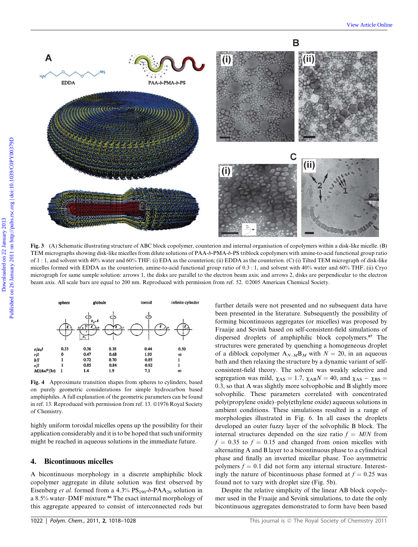

Fig. 3 (A) Schematic illustrating structure of ABC block copolymer, counterion and internal organisation of copolymers within a disk-like micelle. (B) TEM micrographs showing disk-like micelles from dilute solutions of PAA-*b*-PMA-*b*-PS triblock copolymers with amine-to-acid functional group ratio of 1 : 1, and solvent with 40% water and 60% THF: (i) EDA as the counterion; (ii) EDDA as the counterion. (C) (i) Tilted TEM micrograph of disk-like micelles formed with EDDA as the counterion, amine-to-acid functional group ratio of 0.3 : 1, and solvent with 40% water and 60% THF. (ii) Cryo micrograph for same sample solution: arrows 1, the disks are parallel to the electron beam axis; and arrows 2, disks are perpendicular to the electron beam axis. All scale bars are equal to 200 nm. Reproduced with permission from ref. 52. ©2005 American Chemical Society.



Fig. 4 Approximate transition shapes from spheres to cylinders, based on purely geometric considerations for simple hydrocarbon based amphiphiles. A full explanation of the geometric parameters can be found in ref. 13. Reproduced with permission from ref. 13. ©1976 Royal Society of Chemistry.

highly uniform toroidal micelles opens up the possibility for their application considerably and it is to be hoped that such uniformity might be reached in aqueous solutions in the immediate future.

### 4. Bicontinuous micelles

A bicontinuous morphology in a discrete amphiphilic block copolymer aggregate in dilute solution was first observed by Eisenberg *et al.* formed from a  $4.3\%$   $PS_{190}$ -*b*-PAA<sub>20</sub> solution in a 8.5% water-DMF mixture.<sup>86</sup> The exact internal morphology of this aggregate appeared to consist of interconnected rods but

further details were not presented and no subsequent data have been presented in the literature. Subsequently the possibility of forming bicontinuous aggregates (or micelles) was proposed by Fraaije and Sevink based on self-consistent-field simulations of dispersed droplets of amphiphilic block copolymers.<sup>87</sup> The structures were generated by quenching a homogeneous droplet of a diblock copolymer  $A_{N-M}B_M$  with  $N = 20$ , in an aqueous bath and then relaxing the structure by a dynamic variant of selfconsistent-field theory. The solvent was weakly selective and segregation was mild,  $\chi_{AS} = 1.7$ ,  $\chi_{AB}N = 40$ , and  $\chi_{AS} - \chi_{BS} =$ 0.3, so that A was slightly more solvophobic and B slightly more solvophilic. These parameters correlated with concentrated poly(propylene oxide)–poly(ethylene oxide) aqueous solutions in ambient conditions. These simulations resulted in a range of morphologies illustrated in Fig. 6. In all cases the droplets developed an outer fuzzy layer of the solvophilic B block. The internal structures depended on the size ratio  $f = M/N$  from  $f = 0.35$  to  $f = 0.15$  and changed from onion micelles with alternating A and B layer to a bicontinuous phase to a cylindrical phase and finally an inverted micellar phase. Too asymmetric polymers  $f = 0.1$  did not form any internal structure. Interestingly the nature of bicontinuous phase formed at  $f = 0.25$  was found not to vary with droplet size (Fig. 5b).

Despite the relative simplicity of the linear AB block copolymer used in the Fraaije and Sevink simulations, to date the only bicontinuous aggregates demonstrated to form have been based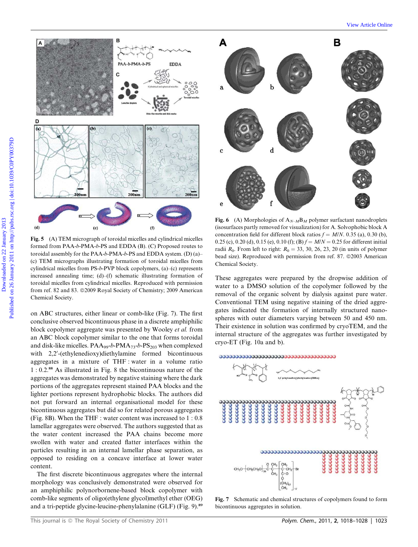

Fig. 5 (A) TEM micrograph of toroidal micelles and cylindrical micelles formed from PAA-*b*-PMA-*b*-PS and EDDA (B). (C) Proposed routes to toroidal assembly for the PAA-*b*-PMA-*b*-PS and EDDA system. (D) (a)– (c) TEM micrographs illustrating formation of toroidal micelles from cylindrical micelles from PS-*b*-PVP block copolymers, (a)–(c) represents increased annealing time; (d)–(f) schematic illustrating formation of toroidal micelles from cylindrical micelles. Reproduced with permission from ref. 82 and 83. @2009 Royal Society of Chemistry; 2009 American Chemical Society.

on ABC structures, either linear or comb-like (Fig. 7). The first conclusive observed bicontinuous phase in a discrete amphiphilic block copolymer aggregate was presented by Wooley *et al.* from an ABC block copolymer similar to the one that forms toroidal and disk-like micelles.  $PAA_{99}$ -*b*- $PMA_{73}$ -*b*- $PS_{203}$  when complexed with 2,2'-(ethylenedioxy)diethylamine formed bicontinuous aggregates in a mixture of THF : water in a volume ratio 1 : 0.2.<sup>88</sup> As illustrated in Fig. 8 the bicontinuous nature of the aggregates was demonstrated by negative staining where the dark portions of the aggregates represent stained PAA blocks and the lighter portions represent hydrophobic blocks. The authors did not put forward an internal organisational model for these bicontinuous aggregates but did so for related porous aggregates (Fig. 8B). When the THF : water content was increased to 1 : 0.8 lamellar aggregates were observed. The authors suggested that as the water content increased the PAA chains become more swollen with water and created flatter interfaces within the particles resulting in an internal lamellar phase separation, as opposed to residing on a concave interface at lower water content.

The first discrete bicontinuous aggregates where the internal morphology was conclusively demonstrated were observed for an amphiphilic polynorbornene-based block copolymer with comb-like segments of oligo(ethylene glycol)methyl ether (OEG) and a tri-peptide glycine-leucine-phenylalanine (GLF) (Fig. 9).<sup>89</sup>



**Fig. 6** (A) Morphologies of  $A_{N-M}B_M$  polymer surfactant nanodroplets (isosurfaces partly removed for visualization) for A. Solvophobic block A concentration field for different block ratios  $f = M/N$ . 0.35 (a), 0.30 (b), 0.25 (c), 0.20 (d), 0.15 (e), 0.10 (f); (B)  $f = M/N = 0.25$  for different initial radii  $R_0$ . From left to right:  $R_0 = 33, 30, 26, 23, 20$  (in units of polymer bead size). Reproduced with permission from ref. 87. ©2003 American Chemical Society.

These aggregates were prepared by the dropwise addition of water to a DMSO solution of the copolymer followed by the removal of the organic solvent by dialysis against pure water. Conventional TEM using negative staining of the dried aggregates indicated the formation of internally structured nanospheres with outer diameters varying between 50 and 450 nm. Their existence in solution was confirmed by cryoTEM, and the internal structure of the aggregates was further investigated by cryo-ET (Fig. 10a and b).



Fig. 7 Schematic and chemical structures of copolymers found to form bicontinuous aggregates in solution.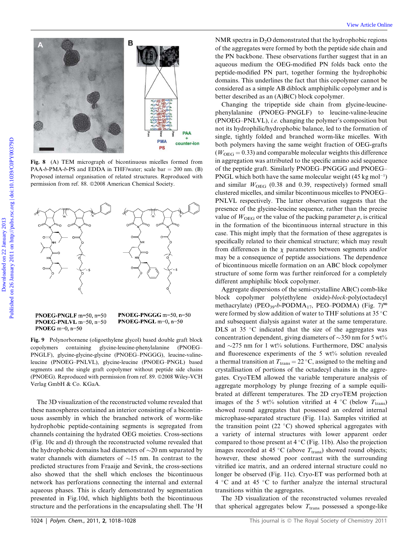



Fig. 8 (A) TEM micrograph of bicontinuous micelles formed from  $PAA-b-PMA-b-PS$  and EDDA in THF/water; scale  $bar = 200$  nm. (B) Proposed internal organisation of related structures. Reproduced with permission from ref. 88. @2008 American Chemical Society.



PNOEG-PNGLF m=50, n=50 PNOEG-PNLVL m=50, n=50 PNOEG m=0,  $n=50$ 

PNOEG-PNGGG m=50, n=50 **PNOEG-PNGL** m=0,  $n=50$ 

Fig. 9 Polynorbornene (oligoethylene glycol) based double graft block copolymers containing glycine-leucine-phenylalanine (PNOEG– PNGLF), glycine-glycine-glycine (PNOEG–PNGGG), leucine-valineleucine (PNOEG–PNLVL), glycine-leucine (PNOEG–PNGL) based segments and the single graft copolymer without peptide side chains (PNOEG). Reproduced with permission from ref. 89. ©2008 Wiley-VCH Verlag GmbH & Co. KGaA.

The 3D visualization of the reconstructed volume revealed that these nanospheres contained an interior consisting of a bicontinuous assembly in which the branched network of worm-like hydrophobic peptide-containing segments is segregated from channels containing the hydrated OEG moieties. Cross-sections (Fig. 10c and d) through the reconstructed volume revealed that the hydrophobic domains had diameters of  $\sim$ 20 nm separated by water channels with diameters of  $\sim$ 15 nm. In contrast to the predicted structures from Fraaije and Sevink, the cross-sections also showed that the shell which encloses the bicontinuous network has perforations connecting the internal and external aqueous phases. This is clearly demonstrated by segmentation presented in Fig.10d, which highlights both the bicontinuous structure and the perforations in the encapsulating shell. The <sup>1</sup>H

NMR spectra in  $D<sub>2</sub>O$  demonstrated that the hydrophobic regions of the aggregates were formed by both the peptide side chain and the PN backbone. These observations further suggest that in an aqueous medium the OEG-modified PN folds back onto the peptide-modified PN part, together forming the hydrophobic domains. This underlines the fact that this copolymer cannot be considered as a simple AB diblock amphiphilic copolymer and is better described as an (A)B(C) block copolymer.

Changing the tripeptide side chain from glycine-leucinephenylalanine (PNOEG–PNGLF) to leucine-valine-leucine (PNOEG–PNLVL), *i.e.* changing the polymer's composition but not its hydrophilic/hydrophobic balance, led to the formation of single, tightly folded and branched worm-like micelles. With both polymers having the same weight fraction of OEG-grafts  $(W<sub>OEG</sub> = 0.33)$  and comparable molecular weights this difference in aggregation was attributed to the specific amino acid sequence of the peptide graft. Similarly PNOEG–PNGGG and PNOEG– PNGL which both have the same molecular weight  $(45 \text{ kg mol}^{-1})$ and similar  $W_{\text{OEG}}$  (0.38 and 0.39, respectively) formed small clustered micelles, and similar bicontinuous micelles to PNOEG– PNLVL respectively. The latter observation suggests that the presence of the glycine-leucine sequence, rather than the precise value of  $W<sub>OEG</sub>$  or the value of the packing parameter  $p$ , is critical in the formation of the bicontinuous internal structure in this case. This might imply that the formation of these aggregates is specifically related to their chemical structure; which may result from differences in the  $\chi$  parameters between segments and/or may be a consequence of peptide associations. The dependence of bicontinuous micelle formation on an ABC block copolymer structure of some form was further reinforced for a completely different amphiphilic block copolymer.

Aggregate dispersions of the semi-crystalline AB(C) comb-like block copolymer poly(ethylene oxide)-*block*-poly(octadecyl methacrylate) (PEO<sub>39</sub>-b-PODMA<sub>17</sub>, PEO–PODMA) (Fig. 7)<sup>90</sup> were formed by slow addition of water to THF solutions at 35 °C and subsequent dialysis against water at the same temperature. DLS at 35  $\degree$ C indicated that the size of the aggregates was concentration dependent, giving diameters of  $\sim$ 350 nm for 5 wt% and  $\sim$ 275 nm for 1 wt% solutions. Furthermore, DSC analysis and fluorescence experiments of the 5 wt% solution revealed a thermal transition at  $T_{trans} = 22 \degree C$ , assigned to the melting and crystallisation of portions of the octadecyl chains in the aggregates. CryoTEM allowed the variable temperature analysis of aggregate morphology by plunge freezing of a sample equilibrated at different temperatures. The 2D cryoTEM projection images of the 5 wt% solution vitrified at 4 °C (below  $T_{\text{trans}}$ ) showed round aggregates that possessed an ordered internal microphase-separated structure (Fig. 11a). Samples vitrified at the transition point (22  $^{\circ}$ C) showed spherical aggregates with a variety of internal structures with lower apparent order compared to those present at  $4^{\circ}$ C (Fig. 11b). Also the projection images recorded at 45 °C (above  $T_{trans}$ ) showed round objects; however, these showed poor contrast with the surrounding vitrified ice matrix, and an ordered internal structure could no longer be observed (Fig. 11c). Cryo-ET was performed both at 4 °C and at 45 °C to further analyze the internal structural transitions within the aggregates.

The 3D visualization of the reconstructed volumes revealed that spherical aggregates below  $T_{trans}$  possessed a sponge-like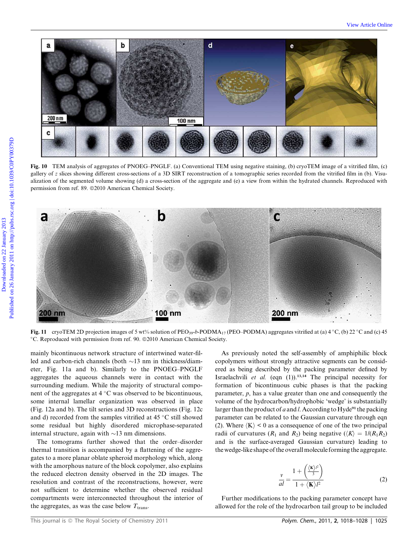

Fig. 10 TEM analysis of aggregates of PNOEG–PNGLF. (a) Conventional TEM using negative staining, (b) cryoTEM image of a vitrified film, (c) gallery of *z* slices showing different cross-sections of a 3D SIRT reconstruction of a tomographic series recorded from the vitrified film in (b). Visualization of the segmented volume showing (d) a cross-section of the aggregate and (e) a view from within the hydrated channels. Reproduced with permission from ref. 89. @2010 American Chemical Society.



Fig. 11 cryoTEM 2D projection images of 5 wt% solution of PEO<sub>39</sub>-b-PODMA<sub>17</sub> (PEO–PODMA) aggregates vitrified at (a) 4 °C, (b) 22 °C and (c) 45 °C. Reproduced with permission from ref. 90. ©2010 American Chemical Society.

mainly bicontinuous network structure of intertwined water-filled and carbon-rich channels (both  $\sim$ 13 nm in thickness/diameter, Fig. 11a and b). Similarly to the PNOEG–PNGLF aggregates the aqueous channels were in contact with the surrounding medium. While the majority of structural component of the aggregates at  $4 \degree C$  was observed to be bicontinuous, some internal lamellar organization was observed in place (Fig. 12a and b). The tilt series and 3D reconstructions (Fig. 12c and d) recorded from the samples vitrified at  $45^{\circ}$ C still showed some residual but highly disordered microphase-separated internal structure, again with  $\sim$ 13 nm dimensions.

The tomograms further showed that the order–disorder thermal transition is accompanied by a flattening of the aggregates to a more planar oblate spheroid morphology which, along with the amorphous nature of the block copolymer, also explains the reduced electron density observed in the 2D images. The resolution and contrast of the reconstructions, however, were not sufficient to determine whether the observed residual compartments were interconnected throughout the interior of the aggregates, as was the case below  $T_{trans}$ .

As previously noted the self-assembly of amphiphilic block copolymers without strongly attractive segments can be considered as being described by the packing parameter defined by Israelachvili *et al.* (eqn  $(1)$ ).<sup>13,14</sup> The principal necessity for formation of bicontinuous cubic phases is that the packing parameter, *p*, has a value greater than one and consequently the volume of the hydrocarbon/hydrophobic 'wedge' is substantially larger than the product of *a* and *l*. According to Hyde<sup>91</sup> the packing parameter can be related to the Gaussian curvature through eqn (2). Where  $\langle K \rangle$  < 0 as a consequence of one of the two principal radii of curvatures ( $R_1$  and  $R_2$ ) being negative ( $\langle K \rangle = 1/(R_1 R_2)$ ) and is the surface-averaged Gaussian curvature) leading to the wedge-like shape of the overallmolecule forming the aggregate.

$$
\frac{v}{al} = \frac{1 + \left(\frac{\langle \mathbf{K} \rangle^2}{3}\right)}{1 + \langle \mathbf{K} \rangle l^2}
$$
(2)

Further modifications to the packing parameter concept have allowed for the role of the hydrocarbon tail group to be included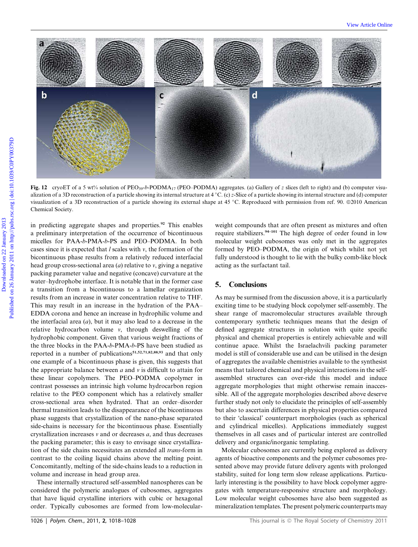

Fig. 12 cryoET of a 5 wt% solution of PEO<sub>39</sub>-b-PODMA<sub>17</sub> (PEO–PODMA) aggregates. (a) Gallery of *z* slices (left to right) and (b) computer visualization of a 3D reconstruction of a particle showing its internal structure at  $4^{\circ}$ C. (c) *z*-Slice of a particle showing its internal structure and (d) computer visualization of a 3D reconstruction of a particle showing its external shape at 45 °C. Reproduced with permission from ref. 90. ©2010 American Chemical Society.

in predicting aggregate shapes and properties.<sup>92</sup> This enables a preliminary interpretation of the occurrence of bicontinuous micelles for PAA-*b*-PMA-*b*-PS and PEO–PODMA. In both cases since it is expected that *l* scales with *v*, the formation of the bicontinuous phase results from a relatively reduced interfacial head group cross-sectional area (*a*) relative to *v*, giving a negative packing parameter value and negative (concave) curvature at the water–hydrophobe interface. It is notable that in the former case a transition from a bicontinuous to a lamellar organization results from an increase in water concentration relative to THF. This may result in an increase in the hydration of the PAA– EDDA corona and hence an increase in hydrophilic volume and the interfacial area (*a*), but it may also lead to a decrease in the relative hydrocarbon volume *v*, through deswelling of the hydrophobic component. Given that various weight fractions of the three blocks in the PAA-*b*-PMA-*b*-PS have been studied as reported in a number of publications<sup>51,52,71,82,88,93</sup> and that only one example of a bicontinuous phase is given, this suggests that the appropriate balance between *a* and *v* is difficult to attain for these linear copolymers. The PEO–PODMA copolymer in contrast possesses an intrinsic high volume hydrocarbon region relative to the PEO component which has a relatively smaller cross-sectional area when hydrated. That an order–disorder thermal transition leads to the disappearance of the bicontinuous phase suggests that crystallization of the nano-phase separated side-chains is necessary for the bicontinuous phase. Essentially crystallization increases *v* and or decreases *a*, and thus decreases the packing parameter; this is easy to envisage since crystallization of the side chains necessitates an extended all *trans*-form in contrast to the coiling liquid chains above the melting point. Concomitantly, melting of the side-chains leads to a reduction in volume and increase in head group area.

These internally structured self-assembled nanospheres can be considered the polymeric analogues of cubosomes, aggregates that have liquid crystalline interiors with cubic or hexagonal order. Typically cubosomes are formed from low-molecularweight compounds that are often present as mixtures and often require stabilizers.94–101 The high degree of order found in low molecular weight cubosomes was only met in the aggregates formed by PEO–PODMA, the origin of which whilst not yet fully understood is thought to lie with the bulky comb-like block acting as the surfactant tail.

### 5. Conclusions

As may be surmised from the discussion above, it is a particularly exciting time to be studying block copolymer self-assembly. The shear range of macromolecular structures available through contemporary synthetic techniques means that the design of defined aggregate structures in solution with quite specific physical and chemical properties is entirely achievable and will continue apace. Whilst the Israelachvili packing parameter model is still of considerable use and can be utilised in the design of aggregates the available chemistries available to the synthesist means that tailored chemical and physical interactions in the selfassembled structures can over-ride this model and induce aggregate morphologies that might otherwise remain inaccessible. All of the aggregate morphologies described above deserve further study not only to elucidate the principles of self-assembly but also to ascertain differences in physical properties compared to their 'classical' counterpart morphologies (such as spherical and cylindrical micelles). Applications immediately suggest themselves in all cases and of particular interest are controlled delivery and organic/inorganic templating.

Molecular cubosomes are currently being explored as delivery agents of bioactive components and the polymer cubosomes presented above may provide future delivery agents with prolonged stability, suited for long term slow release applications. Particularly interesting is the possibility to have block copolymer aggregates with temperature-responsive structure and morphology. Low molecular weight cubosomes have also been suggested as mineralization templates. The present polymeric counterparts may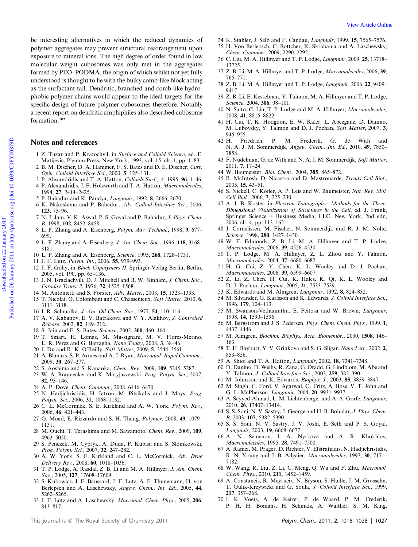be interesting alternatives in which the reduced dynamics of polymer aggregates may prevent structural rearrangement upon exposure to mineral ions. The high degree of order found in low molecular weight cubosomes was only met in the aggregates formed by PEO–PODMA, the origin of which whilst not yet fully understood is thought to lie with the bulky comb-like block acting as the surfactant tail. Dendritic, branched and comb-like hydrophobic polymer chains would appear to the ideal targets for the specific design of future polymer cubosomes therefore. Notably a recent report on dendritic amphiphiles also described cubosome formation.<sup>102</sup>

### Notes and references

- 1 Z. Tuzar and P. Kratochvil, in *Surface and Colloid Science*, ed. E. Matijevic, Plenum Press, New York, 1993, vol. 15, ch. 1, pp. 1–83.
- 2 B. M. Discher, D. A. Hammer, F. S. Bates and D. E. Discher, *Curr. Opin. Colloid Interface Sci.*, 2000, 5, 125–131.
- 3 P. Alexandridis and T. A. Hatton, *Colloids Surf., A*, 1995, 96, 1–46. 4 P. Alexandridis, J. F. Holzwarth and T. A. Hatton, *Macromolecules*, 1994, 27, 2414–2425.
- 5 P. Bahadur and K. Pandya, *Langmuir*, 1992, 8, 2666–2670.
- 6 K. Nakashima and P. Bahadur, *Adv. Colloid Interface Sci.*, 2006, 123, 75–96.
- 7 N. J. Jain, V. K. Aswal, P. S. Goyal and P. Bahadur, *J. Phys. Chem. B*, 1998, 102, 8452–8458.
- 8 L. F. Zhang and A. Eisenberg, *Polym. Adv. Technol.*, 1998, 9, 677– 699.
- 9 L. F. Zhang and A. Eisenberg, *J. Am. Chem. Soc.*, 1996, 118, 3168– 3181.
- 10 L. F. Zhang and A. Eisenberg, *Science*, 1995, 268, 1728–1731.
- 11 J. F. Lutz, *Polym. Int.*, 2006, 55, 979–993.
- 12 J. F. Gohy, in *Block Copolymers II*, Springer-Verlag Berlin, Berlin, 2005, vol. 190, pp. 65–136.
- 13 J. N. Israelachvili, D. J. Mitchell and B. W. Ninham, *J. Chem. Soc., Faraday Trans. 2*, 1976, 72, 1525–1568.
- 14 M. Antonietti and S. Forster, *Adv. Mater.*, 2003, 15, 1323–1333.
- 15 T. Nicolai, O. Colombani and C. Chassenieux, *Soft Matter*, 2010, 6, 3111–3118.
- 16 I. R. Schmolka, *J. Am. Oil Chem. Soc.*, 1977, 54, 110–116.
- 17 A. V. Kabanov, E. V. Batrakova and V. Y. Alakhov, *J. Controlled Release*, 2002, 82, 189–212.
- 18 S. Jain and F. S. Bates, *Science*, 2003, 300, 460–464.
- 19 T. Smart, H. Lomas, M. Massignani, M. V. Flores-Merino, L. R. Perez and G. Battaglia, *Nano Today*, 2008, 3, 38–46.
- 20 J. Du and R. K. O'Reilly, *Soft Matter*, 2009, 5, 3544–3561.
- 21 A. Blanazs, S. P. Armes and A. J. Ryan, *Macromol. Rapid Commun.*, 2009, 30, 267–277.
- 22 S. Aoshima and S. Kanaoka, *Chem. Rev.*, 2009, 109, 5245–5287.
- 23 W. A. Braunecker and K. Matyjaszewski, *Prog. Polym. Sci.*, 2007, 32, 93–146.
- 24 A. P. Dove, *Chem. Commun.*, 2008, 6446–6470.
- 25 N. Hadjichristidis, H. Iatrou, M. Pitsikalis and J. Mays, *Prog. Polym. Sci.*, 2006, 31, 1068–1132.
- 26 C. L. McCormick, S. E. Kirkland and A. W. York, *Polym. Rev.*, 2006, 46, 421–443.
- 27 G. Moad, E. Rizzardo and S. H. Thang, *Polymer*, 2008, 49, 1079– 1131.
- 28 M. Ouchi, T. Terashima and M. Sawamoto, *Chem. Rev.*, 2009, 109, 4963–5050.
- 29 S. Penczek, M. Cypryk, A. Duda, P. Kubisa and S. Slomkowski, *Prog. Polym. Sci.*, 2007, 32, 247–282.
- 30 A. W. York, S. E. Kirkland and C. L. McCormick, *Adv. Drug Delivery Rev.*, 2008, 60, 1018–1036.
- 31 T. P. Lodge, A. Rasdal, Z. B. Li and M. A. Hillmyer, *J. Am. Chem. Soc.*, 2005, 127, 17608–17609.
- 32 S. Kubowicz, J. F. Baussard, J. F. Lutz, A. F. Thunemann, H. von Berlepsch and A. Laschewsky, *Angew. Chem., Int. Ed.*, 2005, 44, 5262–5265.
- 33 J. F. Lutz and A. Laschewsky, *Macromol. Chem. Phys.*, 2005, 206, 813–817.
- 34 K. Stahler, J. Selb and F. Candau, *Langmuir*, 1999, 15, 7565–7576.
- 35 H. Von Berlepsch, C. Bottcher, K. Skrabania and A. Laschewsky, *Chem. Commun.*, 2009, 2290–2292.
- 36 C. Liu, M. A. Hillmyer and T. P. Lodge, *Langmuir*, 2009, 25, 13718– 13725.
- 37 Z. B. Li, M. A. Hillmyer and T. P. Lodge, *Macromolecules*, 2006, 39, 765–771.
- 38 Z. B. Li, M. A. Hillmyer and T. P. Lodge, *Langmuir*, 2006, 22, 9409– 9417.
- 39 Z. B. Li, E. Kesselman, Y. Talmon, M. A. Hillmyer and T. P. Lodge, *Science*, 2004, 306, 98–101.
- 40 N. Saito, C. Liu, T. P. Lodge and M. A. Hillmyer, *Macromolecules*, 2008, 41, 8815–8822.
- 41 H. Cui, T. K. Hodgdon, E. W. Kaler, L. Abezgauz, D. Danino, M. Lubovsky, Y. Talmon and D. J. Pochan, *Soft Matter*, 2007, 3, 945–955.<br>42 H. Friedrich.
- P. M. Frederik, G. de With and N. A. J. M. Sommerdijk, *Angew. Chem., Int. Ed.*, 2010, 49, 7850– 7858.
- 43 F. Nudelman, G. de With and N. A. J. M. Sommerdijk, *Soft Matter*, 2011, 7, 17–24.
- 44 W. Baumeister, *Biol. Chem.*, 2004, 385, 865–872.
- 45 R. McIntosh, D. Nicastro and D. Mastronarde, *Trends Cell Biol.*, 2005, 15, 43–51.
- 46 S. Nickell, C. Kofler, A. P. Leis and W. Baumeister, *Nat. Rev. Mol. Cell Biol.*, 2006, 7, 225–230.
- 47 A. J. B. Koster, in *Electron Tomography: Methods for the Three-Dimensional Visualization of Structures in the Cell*, ed. J. Frank, Springer Science + Business Media, LLC, New York, 2nd edn, 2006, ch. 4, pp. 113–162.
- 48 J. Cornelissen, M. Fischer, N. Sommerdijk and R. J. M. Nolte, *Science*, 1998, 280, 1427–1430.
- 49 W. F. Edmonds, Z. B. Li, M. A. Hillmyer and T. P. Lodge, *Macromolecules*, 2006, 39, 4526–4530.
- 50 T. P. Lodge, M. A. Hillmyer, Z. L. Zhou and Y. Talmon, *Macromolecules*, 2004, 37, 6680–6682.
- 51 H. G. Cui, Z. Y. Chen, K. L. Wooley and D. J. Pochan, *Macromolecules*, 2006, 39, 6599–6607.
- 52 Z. Li, Z. Chen, H. Cui, K. Hales, K. Qi, K. L. Wooley and D. J. Pochan, *Langmuir*, 2005, 21, 7533–7539.
- 53 K. Edwards and M. Almgren, *Langmuir*, 1992, 8, 824–832.
- 54 M. Silvander, G. Karlsson and K. Edwards, *J. Colloid Interface Sci.*, 1996, 179, 104–113.
- 55 M. Swanson-Vethamuthu, E. Feitosa and W. Brown, *Langmuir*, 1998, 14, 1590–1596.
- 56 M. Bergstrom and J. S. Pedersen, *Phys. Chem. Chem. Phys.*, 1999, 1, 4437–4446.
- 57 M. Almgren, *Biochim. Biophys. Acta, Biomembr.*, 2000, 1508, 146– 163.
- 58 T. H. Bayburt, Y. V. Grinkova and S. G. Sligar, *Nano Lett.*, 2002, 2, 853–856.
- 59 A. Shioi and T. A. Hatton, *Langmuir*, 2002, 18, 7341–7348.
- 60 D. Danino, D. Weihs, R. Zana, G. Oradd, G. Lindblom, M. Abe and Y. Talmon, *J. Colloid Interface Sci.*, 2003, 259, 382–390.
- 61 M. Johnsson and K. Edwards, *Biophys. J.*, 2003, 85, 3839–3847.
- 62 M. Singh, C. Ford, V. Agarwal, G. Fritz, A. Bose, V. T. John and G. L. McPherson, *Langmuir*, 2004, 20, 9931–9937.
- 63 A. Sayyed-Ahmad, L. M. Lichtenberger and A. A. Gorfe, *Langmuir*, 2010, 26, 13407–13414.
- 64 S. S. Soni, N. V. Sastry, J. George and H. B. Bohidar, *J. Phys. Chem. B*, 2003, 107, 5382–5390.
- 65 S. S. Soni, N. V. Sastry, J. V. Joshi, E. Seth and P. S. Goyal, *Langmuir*, 2003, 19, 6668–6677.
- 66 A. N. Semenov, I. A. Nyrkova and A. R. Khokhlov, *Macromolecules*, 1995, 28, 7491–7500.
- 67 A. Ramzi, M. Prager, D. Richter, V. Efstratiadis, N. Hadjichristidis, R. N. Young and J. B. Allgaier, *Macromolecules*, 1997, 30, 7171– 7182.
- 68 W. Wang, R. Liu, Z. Li, C. Meng, Q. Wu and F. Zhu, *Macromol. Chem. Phys.*, 2010, 211, 1452–1459.
- 69 A. Constancis, R. Meyrueix, N. Bryson, S. Huille, J. M. Grosselin, T. Gulik-Krzywicki and G. Soula, *J. Colloid Interface Sci.*, 1999, 217, 357–368.
- 70 I. K. Voets, A. de Keizer, P. de Waard, P. M. Frederik, P. H. H. Bomans, H. Schmalz, A. Walther, S. M. King,